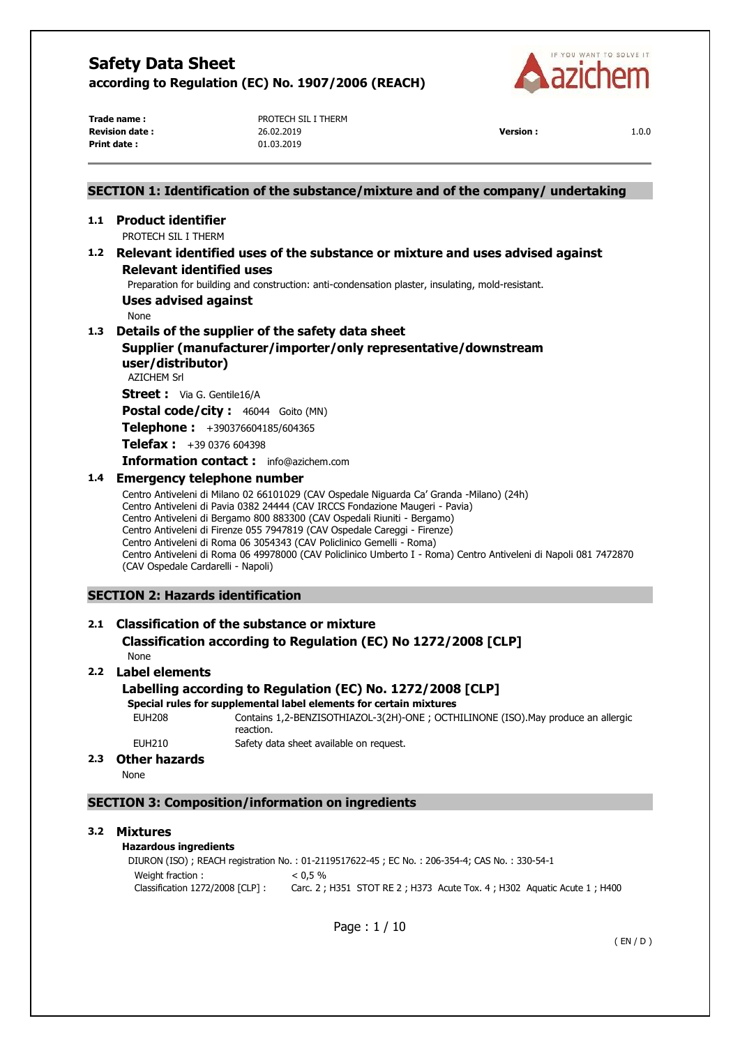

**Print date :** 01.03.2019

**Trade name :** PROTECH SIL I THERM **Revision date :** 26.02.2019 **Version :** 1.0.0

# Page : 1 / 10 ( EN / D ) **SECTION 1: Identification of the substance/mixture and of the company/ undertaking 1.1 Product identifier**  PROTECH SIL I THERM **1.2 Relevant identified uses of the substance or mixture and uses advised against Relevant identified uses**  Preparation for building and construction: anti-condensation plaster, insulating, mold-resistant. **Uses advised against**  None **1.3 Details of the supplier of the safety data sheet Supplier (manufacturer/importer/only representative/downstream user/distributor)**  AZICHEM Srl **Street :** Via G. Gentile16/A **Postal code/city :** 46044 Goito (MN) **Telephone :** +390376604185/604365 **Telefax :** +39 0376 604398 **Information contact :** info@azichem.com **1.4 Emergency telephone number**  Centro Antiveleni di Milano 02 66101029 (CAV Ospedale Niguarda Ca' Granda -Milano) (24h) Centro Antiveleni di Pavia 0382 24444 (CAV IRCCS Fondazione Maugeri - Pavia) Centro Antiveleni di Bergamo 800 883300 (CAV Ospedali Riuniti - Bergamo) Centro Antiveleni di Firenze 055 7947819 (CAV Ospedale Careggi - Firenze) Centro Antiveleni di Roma 06 3054343 (CAV Policlinico Gemelli - Roma) Centro Antiveleni di Roma 06 49978000 (CAV Policlinico Umberto I - Roma) Centro Antiveleni di Napoli 081 7472870 (CAV Ospedale Cardarelli - Napoli) **SECTION 2: Hazards identification 2.1 Classification of the substance or mixture Classification according to Regulation (EC) No 1272/2008 [CLP]**  None **2.2 Label elements Labelling according to Regulation (EC) No. 1272/2008 [CLP] Special rules for supplemental label elements for certain mixtures**  EUH208 Contains 1,2-BENZISOTHIAZOL-3(2H)-ONE ; OCTHILINONE (ISO).May produce an allergic reaction. EUH210 Safety data sheet available on request. **2.3 Other hazards**  None **SECTION 3: Composition/information on ingredients 3.2 Mixtures Hazardous ingredients** DIURON (ISO) ; REACH registration No. : 01-2119517622-45 ; EC No. : 206-354-4; CAS No. : 330-54-1 Weight fraction :  $< 0.5 \%$ Classification 1272/2008 [CLP] : Carc. 2 ; H351 STOT RE 2 ; H373 Acute Tox. 4 ; H302 Aquatic Acute 1 ; H400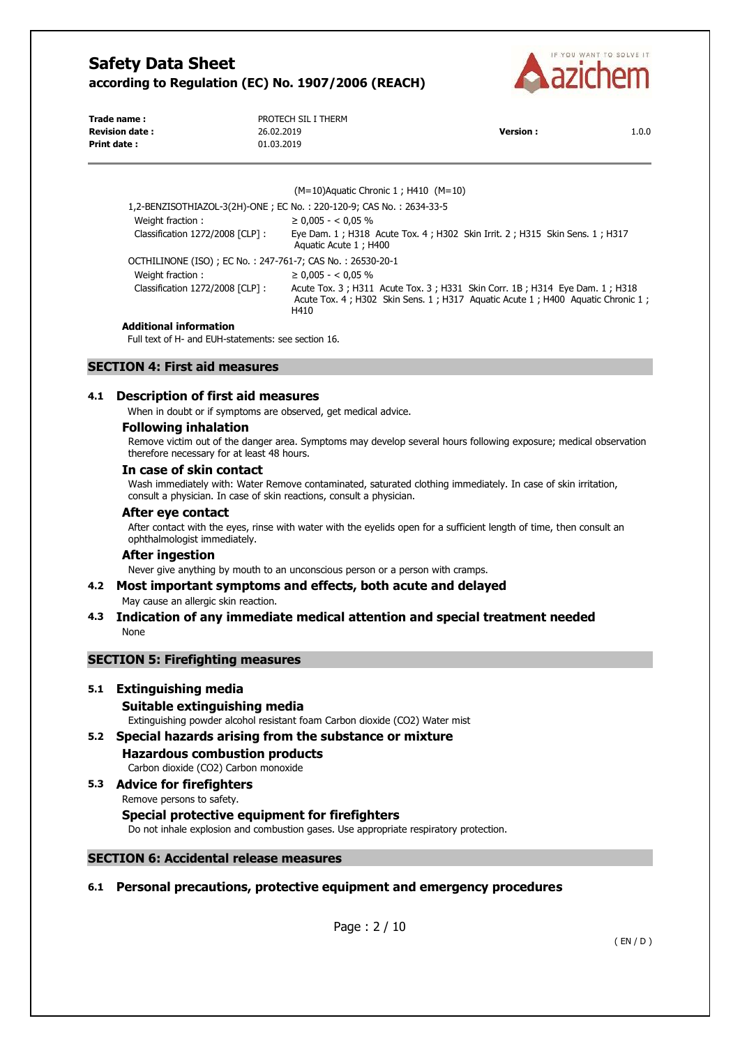

| Trade name:           | PROTECH SIL I THERM |                 |       |
|-----------------------|---------------------|-----------------|-------|
| <b>Revision date:</b> | 26.02.2019          | <b>Version:</b> | 1.0.0 |
| <b>Print date:</b>    | 01.03.2019          |                 |       |

Aquatic Acute 1 ; H400

(M=10)Aquatic Chronic 1 ; H410 (M=10)

1,2-BENZISOTHIAZOL-3(2H)-ONE ; EC No. : 220-120-9; CAS No. : 2634-33-5 Weight fraction :  $≥ 0,005 - <0,05 %$ Classification 1272/2008 [CLP] : Eye Dam. 1 ; H318 Acute Tox. 4 ; H302 Skin Irrit. 2 ; H315 Skin Sens. 1 ; H317

OCTHILINONE (ISO) ; EC No. : 247-761-7; CAS No. : 26530-20-1 Weight fraction :  $≥ 0.005 - <0.05 %$ Classification 1272/2008 [CLP] : Acute Tox. 3 ; H311 Acute Tox. 3 ; H331 Skin Corr. 1B ; H314 Eye Dam. 1 ; H318 Acute Tox. 4; H302 Skin Sens. 1; H317 Aquatic Acute 1; H400 Aquatic Chronic 1; H410

#### **Additional information**

Full text of H- and EUH-statements: see section 16.

# **SECTION 4: First aid measures**

#### **4.1 Description of first aid measures**

When in doubt or if symptoms are observed, get medical advice.

#### **Following inhalation**

Remove victim out of the danger area. Symptoms may develop several hours following exposure; medical observation therefore necessary for at least 48 hours.

#### **In case of skin contact**

Wash immediately with: Water Remove contaminated, saturated clothing immediately. In case of skin irritation, consult a physician. In case of skin reactions, consult a physician.

#### **After eye contact**

After contact with the eyes, rinse with water with the eyelids open for a sufficient length of time, then consult an ophthalmologist immediately.

#### **After ingestion**

Never give anything by mouth to an unconscious person or a person with cramps.

#### **4.2 Most important symptoms and effects, both acute and delayed**

May cause an allergic skin reaction.

## **4.3 Indication of any immediate medical attention and special treatment needed**  None

# **SECTION 5: Firefighting measures**

#### **5.1 Extinguishing media**

- **Suitable extinguishing media**  Extinguishing powder alcohol resistant foam Carbon dioxide (CO2) Water mist
- **5.2 Special hazards arising from the substance or mixture Hazardous combustion products**  Carbon dioxide (CO2) Carbon monoxide
- **5.3 Advice for firefighters**  Remove persons to safety. **Special protective equipment for firefighters**

Do not inhale explosion and combustion gases. Use appropriate respiratory protection.

# **SECTION 6: Accidental release measures**

# **6.1 Personal precautions, protective equipment and emergency procedures**

Page : 2 / 10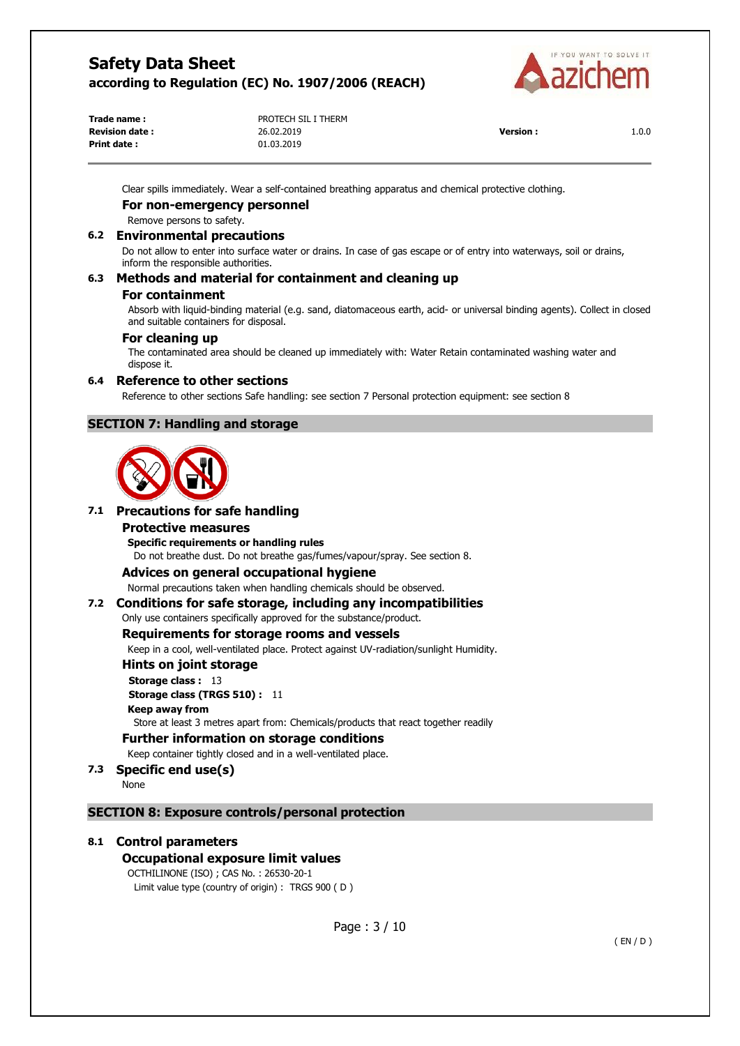

| Trade name :          | PROTECH SIL I THERM |                 |       |
|-----------------------|---------------------|-----------------|-------|
| <b>Revision date:</b> | 26.02.2019          | <b>Version:</b> | 1.0.0 |
| <b>Print date:</b>    | 01.03.2019          |                 |       |

Clear spills immediately. Wear a self-contained breathing apparatus and chemical protective clothing.

## **For non-emergency personnel**

Remove persons to safety.

## **6.2 Environmental precautions**

Do not allow to enter into surface water or drains. In case of gas escape or of entry into waterways, soil or drains, inform the responsible authorities.

# **6.3 Methods and material for containment and cleaning up**

#### **For containment**

Absorb with liquid-binding material (e.g. sand, diatomaceous earth, acid- or universal binding agents). Collect in closed and suitable containers for disposal.

#### **For cleaning up**

The contaminated area should be cleaned up immediately with: Water Retain contaminated washing water and dispose it.

#### **6.4 Reference to other sections**

Reference to other sections Safe handling: see section 7 Personal protection equipment: see section 8

# **SECTION 7: Handling and storage**



## **7.1 Precautions for safe handling**

#### **Protective measures**

**Specific requirements or handling rules** 

Do not breathe dust. Do not breathe gas/fumes/vapour/spray. See section 8.

# **Advices on general occupational hygiene**

Normal precautions taken when handling chemicals should be observed.

# **7.2 Conditions for safe storage, including any incompatibilities**

Only use containers specifically approved for the substance/product.

## **Requirements for storage rooms and vessels**

Keep in a cool, well-ventilated place. Protect against UV-radiation/sunlight Humidity.

#### **Hints on joint storage**

**Storage class :** 13 **Storage class (TRGS 510) :** 11 **Keep away from**  Store at least 3 metres apart from: Chemicals/products that react together readily

**Further information on storage conditions** 

Keep container tightly closed and in a well-ventilated place.

# **7.3 Specific end use(s)**

None

# **SECTION 8: Exposure controls/personal protection**

# **8.1 Control parameters**

# **Occupational exposure limit values**

OCTHILINONE (ISO) ; CAS No. : 26530-20-1 Limit value type (country of origin) : TRGS 900 ( D )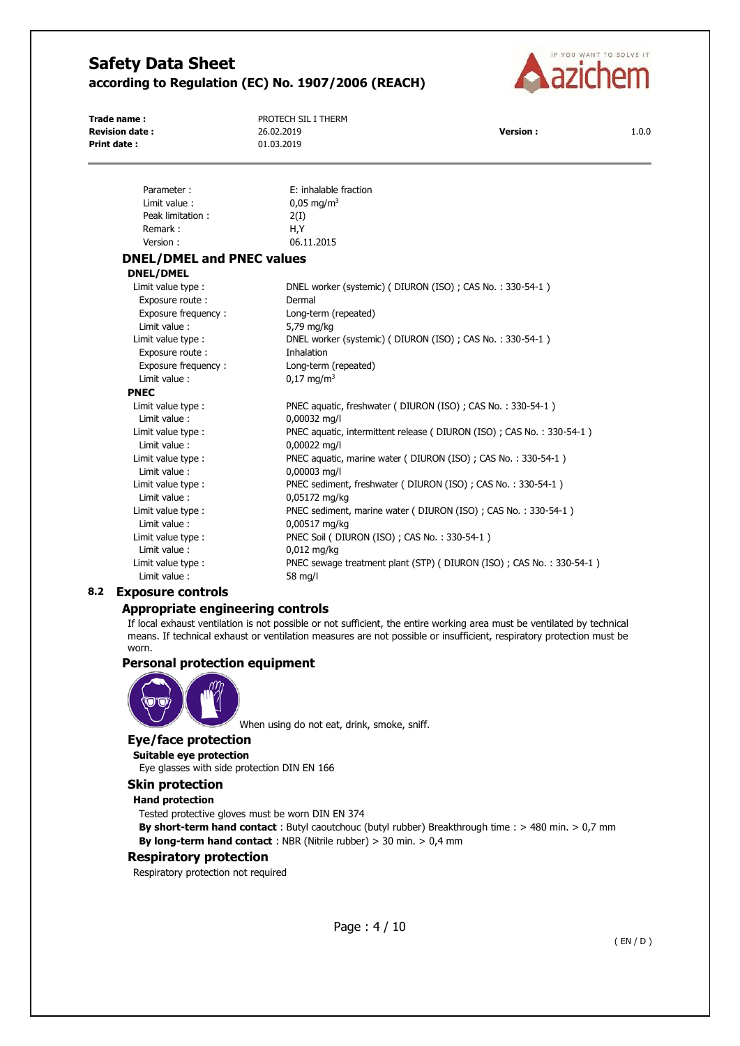

**Revision date :** 26.02.2019 **Version :** 1.0.0 **Print date :** 01.03.2019

**Trade name :** PROTECH SIL I THERM

| Parameter:                       | E: inhalable fraction                                                 |
|----------------------------------|-----------------------------------------------------------------------|
| Limit value:                     | $0.05 \text{ mg/m}^3$                                                 |
| Peak limitation:                 | 2(I)                                                                  |
| Remark:                          | H,Y                                                                   |
| Version:                         | 06.11.2015                                                            |
| <b>DNEL/DMEL and PNEC values</b> |                                                                       |
| <b>DNEL/DMEL</b>                 |                                                                       |
| Limit value type :               | DNEL worker (systemic) (DIURON (ISO); CAS No.: 330-54-1)              |
| Exposure route :                 | Dermal                                                                |
| Exposure frequency:              | Long-term (repeated)                                                  |
| Limit value:                     | 5,79 mg/kg                                                            |
| Limit value type :               | DNEL worker (systemic) (DIURON (ISO); CAS No.: 330-54-1)              |
| Exposure route :                 | Inhalation                                                            |
| Exposure frequency:              | Long-term (repeated)                                                  |
| Limit value:                     | $0.17 \text{ mg/m}^3$                                                 |
| <b>PNEC</b>                      |                                                                       |
| Limit value type :               | PNEC aquatic, freshwater (DIURON (ISO); CAS No.: 330-54-1)            |
| Limit value:                     | 0,00032 mg/l                                                          |
| Limit value type :               | PNEC aquatic, intermittent release (DIURON (ISO) ; CAS No.: 330-54-1) |
| Limit value:                     | 0,00022 mg/l                                                          |
| Limit value type :               | PNEC aquatic, marine water (DIURON (ISO); CAS No.: 330-54-1)          |
| Limit value:                     | 0,00003 mg/l                                                          |
| Limit value type :               | PNEC sediment, freshwater (DIURON (ISO); CAS No.: 330-54-1)           |
| Limit value:                     | 0,05172 mg/kg                                                         |
| Limit value type :               | PNEC sediment, marine water (DIURON (ISO); CAS No.: 330-54-1)         |
| Limit value:                     | 0,00517 mg/kg                                                         |
| Limit value type :               | PNEC Soil (DIURON (ISO) ; CAS No.: 330-54-1)                          |
| Limit value:                     | $0,012$ mg/kg                                                         |
| Limit value type :               | PNEC sewage treatment plant (STP) (DIURON (ISO); CAS No.: 330-54-1)   |
| Limit value:                     | 58 mg/l                                                               |

# **8.2 Exposure controls**

#### **Appropriate engineering controls**

If local exhaust ventilation is not possible or not sufficient, the entire working area must be ventilated by technical means. If technical exhaust or ventilation measures are not possible or insufficient, respiratory protection must be worn.

# **Personal protection equipment**



When using do not eat, drink, smoke, sniff.

# **Eye/face protection**

#### **Suitable eye protection**

Eye glasses with side protection DIN EN 166

## **Skin protection**

#### **Hand protection**

Tested protective gloves must be worn DIN EN 374

**By short-term hand contact** : Butyl caoutchouc (butyl rubber) Breakthrough time : > 480 min. > 0,7 mm **By long-term hand contact** : NBR (Nitrile rubber) > 30 min. > 0,4 mm

#### **Respiratory protection**

Respiratory protection not required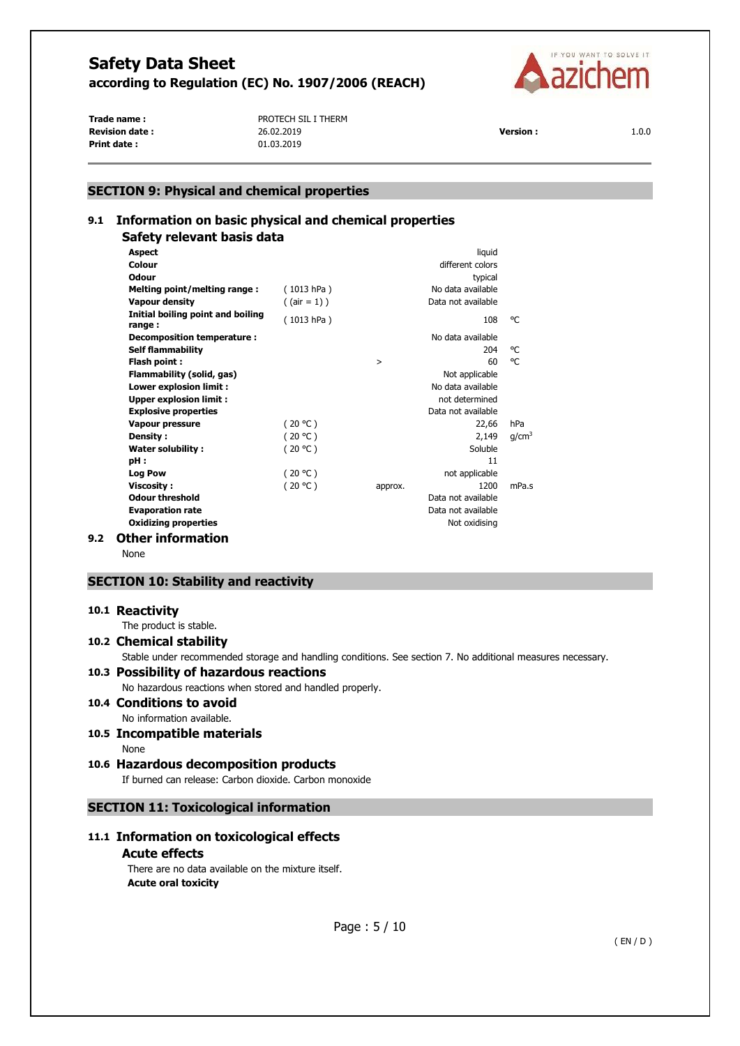

**Print date :** 01.03.2019

**Trade name :** PROTECH SIL I THERM **Revision date :** 26.02.2019 **Version :** 1.0.0

## **SECTION 9: Physical and chemical properties**

# **9.1 Information on basic physical and chemical properties Safety relevant basis data**

|     | <b>Aspect</b>                               |                |         | liquid             |                   |
|-----|---------------------------------------------|----------------|---------|--------------------|-------------------|
|     | Colour                                      |                |         | different colors   |                   |
|     | Odour                                       |                |         | typical            |                   |
|     | Melting point/melting range:                | (1013 hPa)     |         | No data available  |                   |
|     | Vapour density                              | $($ (air = 1)) |         | Data not available |                   |
|     | Initial boiling point and boiling<br>range: | (1013 hPa)     |         | 108                | °C                |
|     | Decomposition temperature :                 |                |         | No data available  |                   |
|     | <b>Self flammability</b>                    |                |         | 204                | °€                |
|     | Flash point:                                |                | $\geq$  | 60                 | °C                |
|     | Flammability (solid, gas)                   |                |         | Not applicable     |                   |
|     | Lower explosion limit :                     |                |         | No data available  |                   |
|     | <b>Upper explosion limit:</b>               |                |         | not determined     |                   |
|     | <b>Explosive properties</b>                 |                |         | Data not available |                   |
|     | <b>Vapour pressure</b>                      | (20 °C)        |         | 22,66              | hPa               |
|     | Density:                                    | (20 °C)        |         | 2,149              | q/cm <sup>3</sup> |
|     | Water solubility:                           | (20 °C)        |         | Soluble            |                   |
|     | pH:                                         |                |         | 11                 |                   |
|     | <b>Log Pow</b>                              | (20 °C)        |         | not applicable     |                   |
|     | <b>Viscosity:</b>                           | (20 °C)        | approx. | 1200               | mPa.s             |
|     | <b>Odour threshold</b>                      |                |         | Data not available |                   |
|     | <b>Evaporation rate</b>                     |                |         | Data not available |                   |
|     | <b>Oxidizing properties</b>                 |                |         | Not oxidising      |                   |
| 9.2 | <b>Other information</b>                    |                |         |                    |                   |

None

# **SECTION 10: Stability and reactivity**

#### **10.1 Reactivity**

The product is stable.

**10.2 Chemical stability** 

Stable under recommended storage and handling conditions. See section 7. No additional measures necessary.

# **10.3 Possibility of hazardous reactions**

No hazardous reactions when stored and handled properly.

# **10.4 Conditions to avoid**

- No information available.
- **10.5 Incompatible materials**  None
- **10.6 Hazardous decomposition products**

If burned can release: Carbon dioxide. Carbon monoxide

# **SECTION 11: Toxicological information**

# **11.1 Information on toxicological effects**

### **Acute effects**

There are no data available on the mixture itself. **Acute oral toxicity**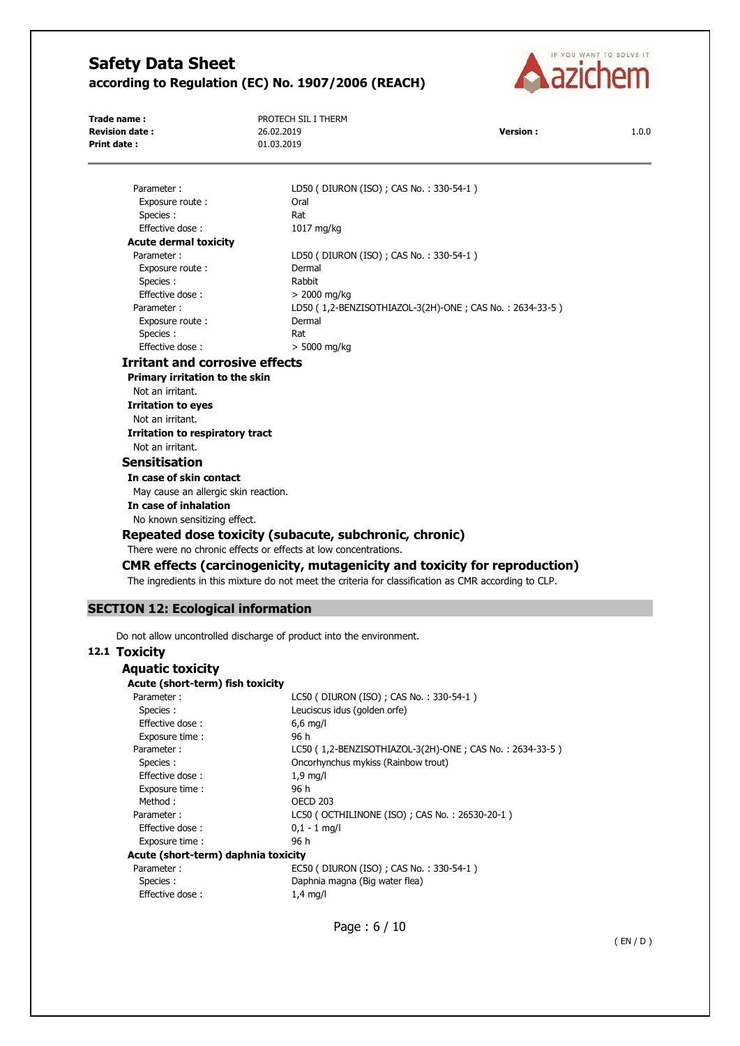

**Trade name :** PROTECH SIL I THERM **Revision date :** 26.02.2019 **Version :** 1.0.0 **Print date :** 01.03.2019

Parameter : LD50 ( DIURON (ISO) ; CAS No. : 330-54-1 ) Exposure route : Call Coral Species : Rat Effective dose : 1017 mg/kg **Acute dermal toxicity**  Parameter : LD50 ( DIURON (ISO) ; CAS No. : 330-54-1 ) Exposure route : Dermal Species : Rabbit Effective dose :  $> 2000 \text{ mg/kg}$ Parameter : LD50 ( 1,2-BENZISOTHIAZOL-3(2H)-ONE ; CAS No. : 2634-33-5 ) Exposure route : Dermal Species : Rat Effective dose: **Irritant and corrosive effects Primary irritation to the skin**  Not an irritant. **Irritation to eyes**  Not an irritant. **Irritation to respiratory tract**  Not an irritant. **Sensitisation In case of skin contact**  May cause an allergic skin reaction. **In case of inhalation**  No known sensitizing effect. **Repeated dose toxicity (subacute, subchronic, chronic)**  There were no chronic effects or effects at low concentrations.

**CMR effects (carcinogenicity, mutagenicity and toxicity for reproduction)** 

The ingredients in this mixture do not meet the criteria for classification as CMR according to CLP.

# **SECTION 12: Ecological information**

Do not allow uncontrolled discharge of product into the environment.

# **12.1 Toxicity**

| Aquatic toxicity                    |                                                         |
|-------------------------------------|---------------------------------------------------------|
| Acute (short-term) fish toxicity    |                                                         |
| Parameter:                          | LC50 (DIURON (ISO) ; CAS No.: 330-54-1)                 |
| Species :                           | Leuciscus idus (golden orfe)                            |
| Effective dose:                     | $6,6$ mg/l                                              |
| Exposure time:                      | 96 h                                                    |
| Parameter:                          | LC50 (1,2-BENZISOTHIAZOL-3(2H)-ONE; CAS No.: 2634-33-5) |
| Species:                            | Oncorhynchus mykiss (Rainbow trout)                     |
| Effective dose:                     | $1.9$ mg/l                                              |
| Exposure time:                      | 96 h                                                    |
| Method:                             | <b>OECD 203</b>                                         |
| Parameter:                          | LC50 ( OCTHILINONE (ISO) ; CAS No.: 26530-20-1 )        |
| Effective dose:                     | $0.1 - 1$ mg/l                                          |
| Exposure time:                      | 96 h                                                    |
| Acute (short-term) daphnia toxicity |                                                         |
| Parameter:                          | EC50 (DIURON (ISO) ; CAS No.: 330-54-1)                 |
| Species :                           | Daphnia magna (Big water flea)                          |
| Effective dose:                     | $1.4 \text{ mg/l}$                                      |

Page : 6 / 10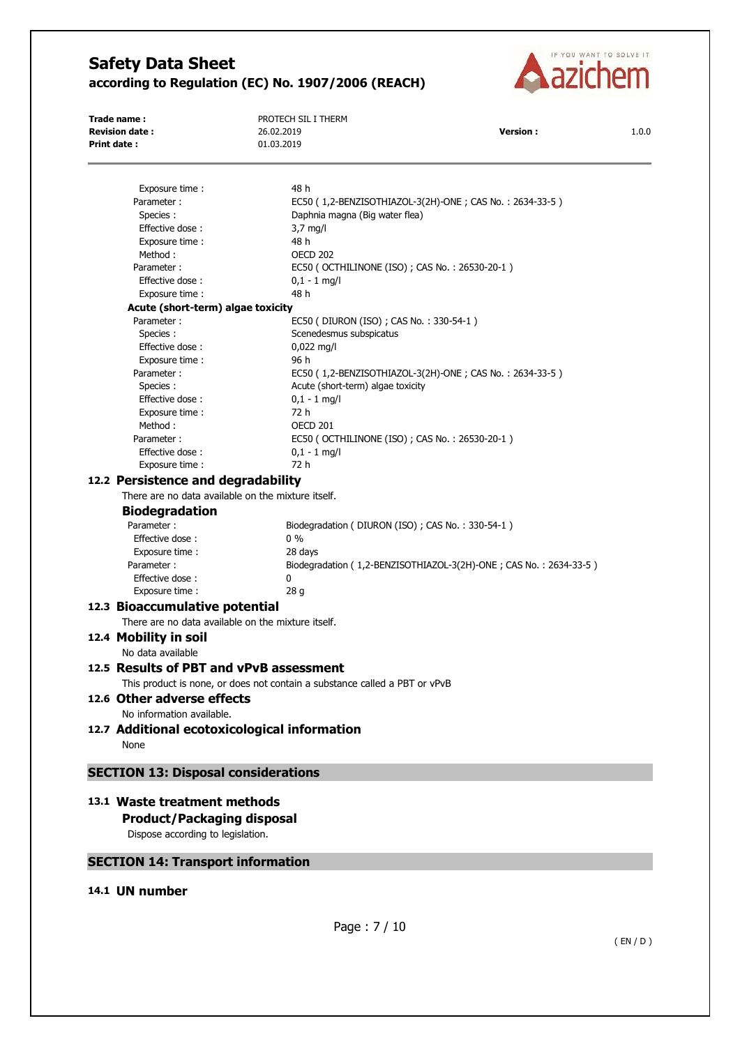

**Trade name :** PROTECH SIL I THERM **Revision date :** 26.02.2019 **Version :** 1.0.0 **Print date :** 01.03.2019 Exposure time : 48 h Parameter : EC50 ( 1,2-BENZISOTHIAZOL-3(2H)-ONE ; CAS No. : 2634-33-5 ) Species : Daphnia magna (Big water flea) Effective dose : 3,7 mg/l Exposure time : 48 h Method : 0ECD 202 Parameter : EC50 ( OCTHILINONE (ISO) ; CAS No. : 26530-20-1 ) Effective dose : 0,1 - 1 mg/l Exposure time : 48 h **Acute (short-term) algae toxicity**  Parameter : EC50 ( DIURON (ISO) ; CAS No. : 330-54-1 ) Species : Scenedesmus subspicatus<br>Effective dose :  $0.022 \text{ mg/l}$ Effective dose: Exposure time : 96 h Parameter : EC50 ( 1,2-BENZISOTHIAZOL-3(2H)-ONE ; CAS No. : 2634-33-5 ) Species :  $\qquad \qquad$  Acute (short-term) algae toxicity Effective dose : 0,1 - 1 mg/l Exposure time : 72 h Method : 0ECD 201 Parameter : EC50 ( OCTHILINONE (ISO) ; CAS No. : 26530-20-1 ) Effective dose : 0,1 - 1 mg/l Exposure time : 72 h **12.2 Persistence and degradability**  There are no data available on the mixture itself. **Biodegradation**  Parameter : Biodegradation ( DIURON (ISO) ; CAS No. : 330-54-1 ) Effective dose : 0 % Exposure time : 28 days Parameter : Biodegradation ( 1,2-BENZISOTHIAZOL-3(2H)-ONE ; CAS No. : 2634-33-5 ) Effective dose : 0 Exposure time : 28 g **12.3 Bioaccumulative potential**  There are no data available on the mixture itself. **12.4 Mobility in soil**  No data available **12.5 Results of PBT and vPvB assessment**  This product is none, or does not contain a substance called a PBT or vPvB **12.6 Other adverse effects**  No information available. **12.7 Additional ecotoxicological information**  None **SECTION 13: Disposal considerations 13.1 Waste treatment methods Product/Packaging disposal**  Dispose according to legislation. **SECTION 14: Transport information** 

# **14.1 UN number**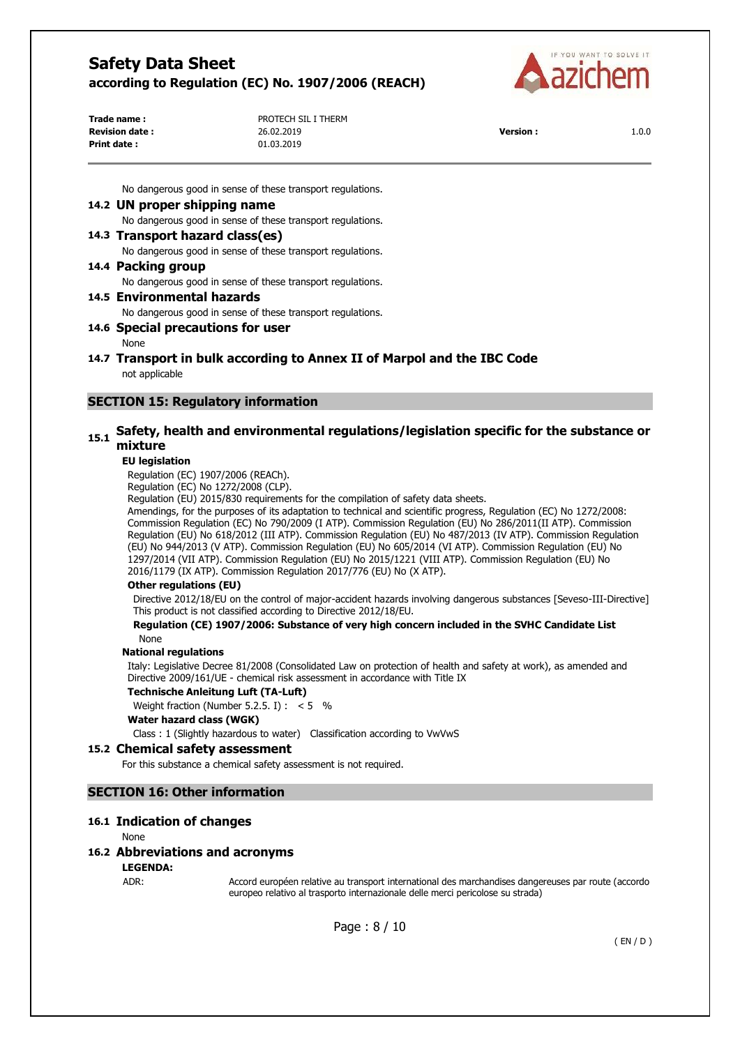

| Trade name:            | PROTECH SIL I THERM |                 |       |
|------------------------|---------------------|-----------------|-------|
| <b>Revision date :</b> | 26.02.2019          | <b>Version:</b> | 1.0.0 |
| Print date :           | 01.03.2019          |                 |       |

No dangerous good in sense of these transport regulations.

## **14.2 UN proper shipping name**

No dangerous good in sense of these transport regulations.

### **14.3 Transport hazard class(es)**

No dangerous good in sense of these transport regulations.

## **14.4 Packing group**

No dangerous good in sense of these transport regulations.

# **14.5 Environmental hazards**

No dangerous good in sense of these transport regulations.

## **14.6 Special precautions for user**

# None

**14.7 Transport in bulk according to Annex II of Marpol and the IBC Code**  not applicable

# **SECTION 15: Regulatory information**

# **15.1 Safety, health and environmental regulations/legislation specific for the substance or mixture**

#### **EU legislation**

Regulation (EC) 1907/2006 (REACh).

Regulation (EC) No 1272/2008 (CLP).

Regulation (EU) 2015/830 requirements for the compilation of safety data sheets.

Amendings, for the purposes of its adaptation to technical and scientific progress, Regulation (EC) No 1272/2008: Commission Regulation (EC) No 790/2009 (I ATP). Commission Regulation (EU) No 286/2011(II ATP). Commission Regulation (EU) No 618/2012 (III ATP). Commission Regulation (EU) No 487/2013 (IV ATP). Commission Regulation (EU) No 944/2013 (V ATP). Commission Regulation (EU) No 605/2014 (VI ATP). Commission Regulation (EU) No 1297/2014 (VII ATP). Commission Regulation (EU) No 2015/1221 (VIII ATP). Commission Regulation (EU) No 2016/1179 (IX ATP). Commission Regulation 2017/776 (EU) No (X ATP).

#### **Other regulations (EU)**

Directive 2012/18/EU on the control of major-accident hazards involving dangerous substances [Seveso-III-Directive] This product is not classified according to Directive 2012/18/EU.

#### **Regulation (CE) 1907/2006: Substance of very high concern included in the SVHC Candidate List**  None

#### **National regulations**

Italy: Legislative Decree 81/2008 (Consolidated Law on protection of health and safety at work), as amended and Directive 2009/161/UE - chemical risk assessment in accordance with Title IX

#### **Technische Anleitung Luft (TA-Luft)**

Weight fraction (Number 5.2.5. I) :  $< 5$  %

#### **Water hazard class (WGK)**

Class : 1 (Slightly hazardous to water) Classification according to VwVwS

## **15.2 Chemical safety assessment**

For this substance a chemical safety assessment is not required.

# **SECTION 16: Other information**

### **16.1 Indication of changes**

None

# **16.2 Abbreviations and acronyms**

**LEGENDA:**

ADR: Accord européen relative au transport international des marchandises dangereuses par route (accordo europeo relativo al trasporto internazionale delle merci pericolose su strada)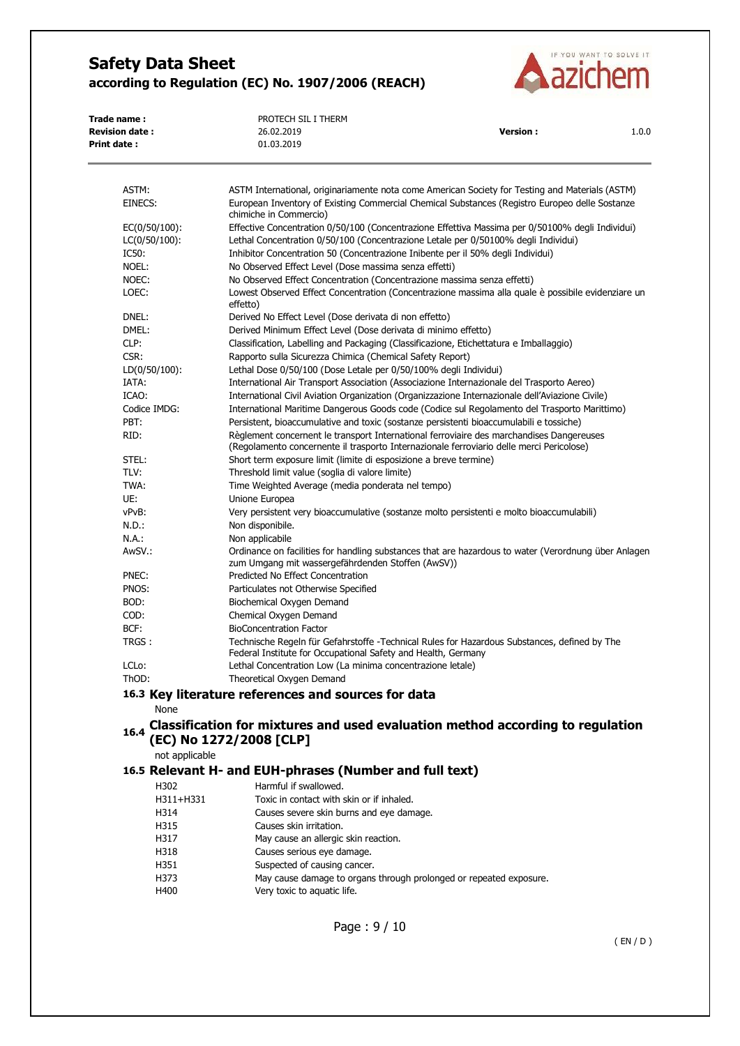

| Trade name:            | PROTECH SIL I THERM |                 |       |
|------------------------|---------------------|-----------------|-------|
| <b>Revision date :</b> | 26.02.2019          | <b>Version:</b> | 1.0.0 |
| Print date :           | 01.03.2019          |                 |       |

| ASTM:                             | ASTM International, originariamente nota come American Society for Testing and Materials (ASTM)                                                                                        |
|-----------------------------------|----------------------------------------------------------------------------------------------------------------------------------------------------------------------------------------|
| EINECS:                           | European Inventory of Existing Commercial Chemical Substances (Registro Europeo delle Sostanze                                                                                         |
|                                   | chimiche in Commercio)                                                                                                                                                                 |
| EC(0/50/100):<br>$LC(0/50/100)$ : | Effective Concentration 0/50/100 (Concentrazione Effettiva Massima per 0/50100% degli Individui)<br>Lethal Concentration 0/50/100 (Concentrazione Letale per 0/50100% degli Individui) |
| IC50:                             | Inhibitor Concentration 50 (Concentrazione Inibente per il 50% degli Individui)                                                                                                        |
| NOEL:                             | No Observed Effect Level (Dose massima senza effetti)                                                                                                                                  |
| NOEC:                             | No Observed Effect Concentration (Concentrazione massima senza effetti)                                                                                                                |
| LOEC:                             | Lowest Observed Effect Concentration (Concentrazione massima alla quale è possibile evidenziare un                                                                                     |
|                                   | effetto)                                                                                                                                                                               |
| DNEL:                             | Derived No Effect Level (Dose derivata di non effetto)                                                                                                                                 |
| DMEL:                             | Derived Minimum Effect Level (Dose derivata di minimo effetto)                                                                                                                         |
| CLP:                              | Classification, Labelling and Packaging (Classificazione, Etichettatura e Imballaggio)                                                                                                 |
| CSR:                              | Rapporto sulla Sicurezza Chimica (Chemical Safety Report)                                                                                                                              |
| $LD(0/50/100)$ :                  | Lethal Dose 0/50/100 (Dose Letale per 0/50/100% degli Individui)                                                                                                                       |
| IATA:                             | International Air Transport Association (Associazione Internazionale del Trasporto Aereo)                                                                                              |
| ICAO:                             | International Civil Aviation Organization (Organizzazione Internazionale dell'Aviazione Civile)                                                                                        |
| Codice IMDG:                      | International Maritime Dangerous Goods code (Codice sul Regolamento del Trasporto Marittimo)                                                                                           |
| PBT:                              | Persistent, bioaccumulative and toxic (sostanze persistenti bioaccumulabili e tossiche)                                                                                                |
| RID:                              | Règlement concernent le transport International ferroviaire des marchandises Dangereuses<br>(Regolamento concernente il trasporto Internazionale ferroviario delle merci Pericolose)   |
| STEL:                             | Short term exposure limit (limite di esposizione a breve termine)                                                                                                                      |
| TLV:                              | Threshold limit value (soglia di valore limite)                                                                                                                                        |
| TWA:                              | Time Weighted Average (media ponderata nel tempo)                                                                                                                                      |
| UE:                               | Unione Europea                                                                                                                                                                         |
| vPvB:                             | Very persistent very bioaccumulative (sostanze molto persistenti e molto bioaccumulabili)                                                                                              |
| $N.D.$ :                          | Non disponibile.                                                                                                                                                                       |
| N.A.:                             | Non applicabile                                                                                                                                                                        |
| AwSV.:                            | Ordinance on facilities for handling substances that are hazardous to water (Verordnung über Anlagen<br>zum Umgang mit wassergefährdenden Stoffen (AwSV))                              |
| PNEC:                             | Predicted No Effect Concentration                                                                                                                                                      |
| PNOS:                             | Particulates not Otherwise Specified                                                                                                                                                   |
| BOD:                              | Biochemical Oxygen Demand                                                                                                                                                              |
| COD:                              | Chemical Oxygen Demand                                                                                                                                                                 |
| BCF:                              | <b>BioConcentration Factor</b>                                                                                                                                                         |
| TRGS:                             | Technische Regeln für Gefahrstoffe - Technical Rules for Hazardous Substances, defined by The<br>Federal Institute for Occupational Safety and Health, Germany                         |
| LCL <sub>o</sub> :                | Lethal Concentration Low (La minima concentrazione letale)                                                                                                                             |
| ThOD:                             | Theoretical Oxygen Demand                                                                                                                                                              |
|                                   | 16.3 Key literature references and sources for data                                                                                                                                    |
| <b>None</b>                       |                                                                                                                                                                                        |

None

# **16.4 Classification for mixtures and used evaluation method according to regulation (EC) No 1272/2008 [CLP]**

not applicable

# **16.5 Relevant H- and EUH-phrases (Number and full text)**

| H302      | Harmful if swallowed.                                              |
|-----------|--------------------------------------------------------------------|
| H311+H331 | Toxic in contact with skin or if inhaled.                          |
| H314      | Causes severe skin burns and eye damage.                           |
| H315      | Causes skin irritation.                                            |
| H317      | May cause an allergic skin reaction.                               |
| H318      | Causes serious eye damage.                                         |
| H351      | Suspected of causing cancer.                                       |
| H373      | May cause damage to organs through prolonged or repeated exposure. |
| H400      | Very toxic to aquatic life.                                        |
|           |                                                                    |